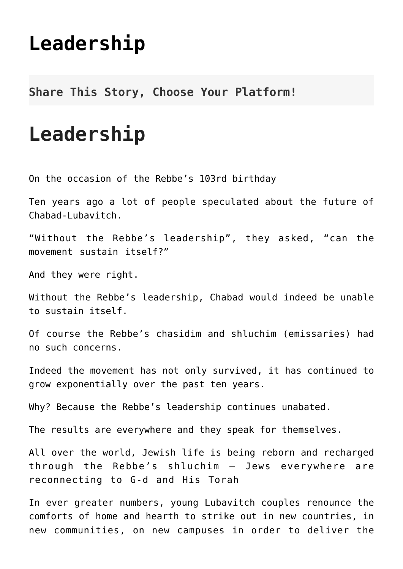## **[Leadership](http://noahide.org/leadership/)**

**Share This Story, Choose Your Platform!**

## **Leadership**

On the occasion of the Rebbe's 103rd birthday

Ten years ago a lot of people speculated about the future of Chabad-Lubavitch.

"Without the Rebbe's leadership", they asked, "can the movement sustain itself?"

And they were right.

Without the Rebbe's leadership, Chabad would indeed be unable to sustain itself.

Of course the Rebbe's chasidim and shluchim (emissaries) had no such concerns.

Indeed the movement has not only survived, it has continued to grow exponentially over the past ten years.

Why? Because the Rebbe's leadership continues unabated.

The results are everywhere and they speak for themselves.

All over the world, Jewish life is being reborn and recharged through the Rebbe's shluchim – Jews everywhere are reconnecting to G-d and His Torah

In ever greater numbers, young Lubavitch couples renounce the comforts of home and hearth to strike out in new countries, in new communities, on new campuses in order to deliver the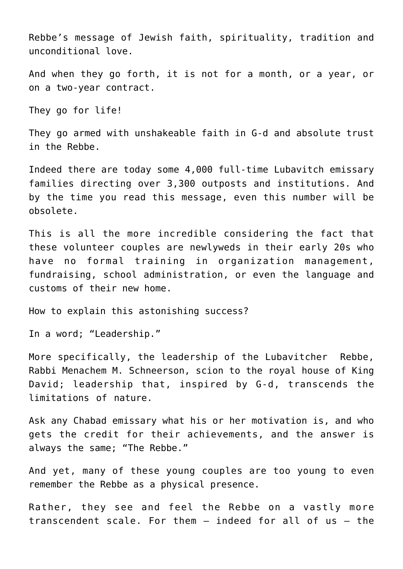Rebbe's message of Jewish faith, spirituality, tradition and unconditional love.

And when they go forth, it is not for a month, or a year, or on a two-year contract.

They go for life!

They go armed with unshakeable faith in G-d and absolute trust in the Rebbe.

Indeed there are today some 4,000 full-time Lubavitch emissary families directing over 3,300 outposts and institutions. And by the time you read this message, even this number will be obsolete.

This is all the more incredible considering the fact that these volunteer couples are newlyweds in their early 20s who have no formal training in organization management, fundraising, school administration, or even the language and customs of their new home.

How to explain this astonishing success?

In a word; "Leadership."

More specifically, the leadership of the Lubavitcher Rebbe, Rabbi Menachem M. Schneerson, scion to the royal house of King David; leadership that, inspired by G-d, transcends the limitations of nature.

Ask any Chabad emissary what his or her motivation is, and who gets the credit for their achievements, and the answer is always the same; "The Rebbe."

And yet, many of these young couples are too young to even remember the Rebbe as a physical presence.

Rather, they see and feel the Rebbe on a vastly more transcendent scale. For them – indeed for all of us – the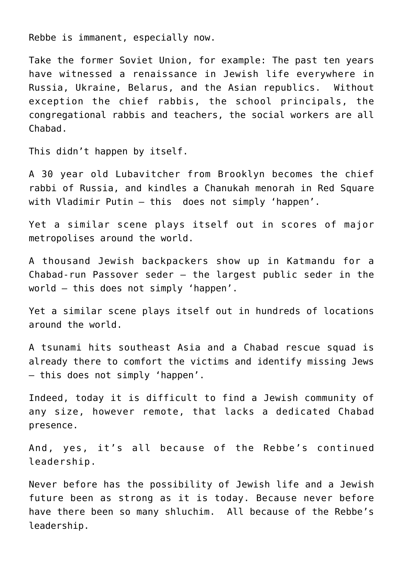Rebbe is immanent, especially now.

Take the former Soviet Union, for example: The past ten years have witnessed a renaissance in Jewish life everywhere in Russia, Ukraine, Belarus, and the Asian republics. Without exception the chief rabbis, the school principals, the congregational rabbis and teachers, the social workers are all Chabad.

This didn't happen by itself.

A 30 year old Lubavitcher from Brooklyn becomes the chief rabbi of Russia, and kindles a Chanukah menorah in Red Square with Vladimir Putin – this does not simply 'happen'.

Yet a similar scene plays itself out in scores of major metropolises around the world.

A thousand Jewish backpackers show up in Katmandu for a Chabad-run Passover seder – the largest public seder in the world – this does not simply 'happen'.

Yet a similar scene plays itself out in hundreds of locations around the world.

A tsunami hits southeast Asia and a Chabad rescue squad is already there to comfort the victims and identify missing Jews – this does not simply 'happen'.

Indeed, today it is difficult to find a Jewish community of any size, however remote, that lacks a dedicated Chabad presence.

And, yes, it's all because of the Rebbe's continued leadership.

Never before has the possibility of Jewish life and a Jewish future been as strong as it is today. Because never before have there been so many shluchim. All because of the Rebbe's leadership.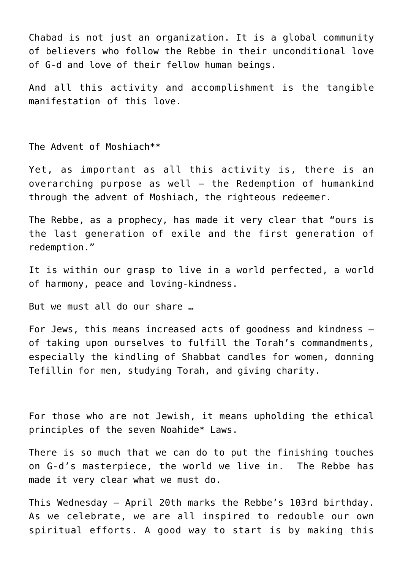Chabad is not just an organization. It is a global community of believers who follow the Rebbe in their unconditional love of G-d and love of their fellow human beings.

And all this activity and accomplishment is the tangible manifestation of this love.

The Advent of Moshiach\*\*

Yet, as important as all this activity is, there is an overarching purpose as well – the Redemption of humankind through the advent of Moshiach, the righteous redeemer.

The Rebbe, as a prophecy, has made it very clear that "ours is the last generation of exile and the first generation of redemption."

It is within our grasp to live in a world perfected, a world of harmony, peace and loving-kindness.

But we must all do our share …

For Jews, this means increased acts of goodness and kindness – of taking upon ourselves to fulfill the Torah's commandments, especially the kindling of Shabbat candles for women, donning Tefillin for men, studying Torah, and giving charity.

For those who are not Jewish, it means upholding the ethical principles of the seven Noahide\* Laws.

There is so much that we can do to put the finishing touches on G-d's masterpiece, the world we live in. The Rebbe has made it very clear what we must do.

This Wednesday – April 20th marks the Rebbe's 103rd birthday. As we celebrate, we are all inspired to redouble our own spiritual efforts. A good way to start is by making this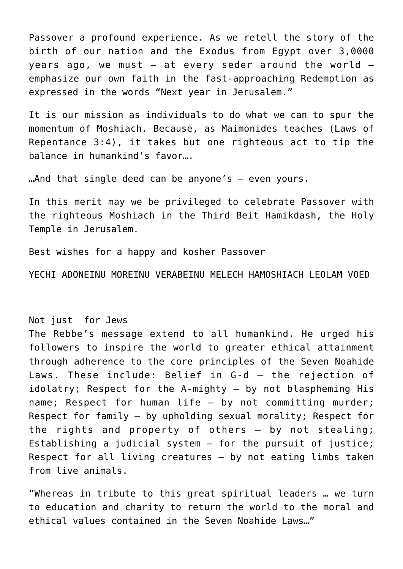Passover a profound experience. As we retell the story of the birth of our nation and the Exodus from Egypt over 3,0000 years ago, we must  $-$  at every seder around the world  $$ emphasize our own faith in the fast-approaching Redemption as expressed in the words "Next year in Jerusalem."

It is our mission as individuals to do what we can to spur the momentum of Moshiach. Because, as Maimonides teaches (Laws of Repentance 3:4), it takes but one righteous act to tip the balance in humankind's favor….

…And that single deed can be anyone's – even yours.

In this merit may we be privileged to celebrate Passover with the righteous Moshiach in the Third Beit Hamikdash, the Holy Temple in Jerusalem.

Best wishes for a happy and kosher Passover

YECHI ADONEINU MOREINU VERABEINU MELECH HAMOSHIACH LEOLAM VOED

## Not just for Jews

The Rebbe's message extend to all humankind. He urged his followers to inspire the world to greater ethical attainment through adherence to the core principles of the Seven Noahide Laws. These include: Belief in G-d – the rejection of idolatry; Respect for the A-mighty – by not blaspheming His name; Respect for human life – by not committing murder; Respect for family – by upholding sexual morality; Respect for the rights and property of others – by not stealing; Establishing a judicial system – for the pursuit of justice; Respect for all living creatures – by not eating limbs taken from live animals.

"Whereas in tribute to this great spiritual leaders … we turn to education and charity to return the world to the moral and ethical values contained in the Seven Noahide Laws…"